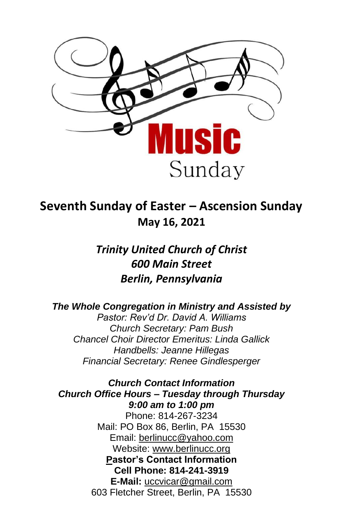

# **Seventh Sunday of Easter – Ascension Sunday May 16, 2021**

*Trinity United Church of Christ 600 Main Street Berlin, Pennsylvania*

*The Whole Congregation in Ministry and Assisted by Pastor: Rev'd Dr. David A. Williams Church Secretary: Pam Bush Chancel Choir Director Emeritus: Linda Gallick Handbells: Jeanne Hillegas Financial Secretary: Renee Gindlesperger*

*Church Contact Information Church Office Hours – Tuesday through Thursday 9:00 am to 1:00 pm* Phone: 814-267-3234 Mail: PO Box 86, Berlin, PA 15530 Email: [berlinucc@yahoo.com](about:blank) Website: [www.berlinucc.org](about:blank) **Pastor's Contact Information Cell Phone: 814-241-3919 E-Mail:** [uccvicar@gmail.com](about:blank) 603 Fletcher Street, Berlin, PA 15530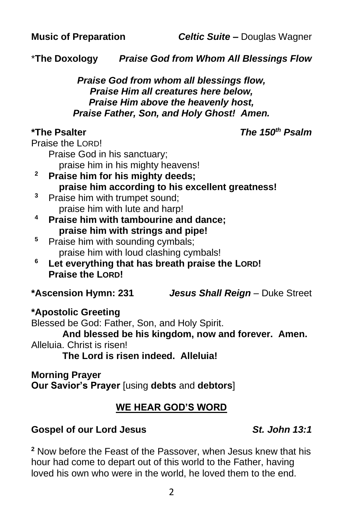\***The Doxology** *Praise God from Whom All Blessings Flow*

#### *Praise God from whom all blessings flow, Praise Him all creatures here below, Praise Him above the heavenly host, Praise Father, Son, and Holy Ghost! Amen.*

**\*The Psalter** *The 150th Psalm*

Praise the LORD!

Praise God in his sanctuary;

praise him in his mighty heavens!

- **<sup>2</sup> Praise him for his mighty deeds; praise him according to his excellent greatness!**
- <sup>3</sup> Praise him with trumpet sound; praise him with lute and harp!
- **<sup>4</sup> Praise him with tambourine and dance; praise him with strings and pipe!**
- <sup>5</sup> Praise him with sounding cymbals; praise him with loud clashing cymbals!
- **<sup>6</sup> Let everything that has breath praise the LORD! Praise the LORD!**

**\*Ascension Hymn: 231** *Jesus Shall Reign* – Duke Street

# **\*Apostolic Greeting**

Blessed be God: Father, Son, and Holy Spirit. **And blessed be his kingdom, now and forever. Amen.** Alleluia. Christ is risen! **The Lord is risen indeed. Alleluia!**

### **Morning Prayer**

**Our Savior's Prayer** [using **debts** and **debtors**]

# **WE HEAR GOD'S WORD**

# **Gospel of our Lord Jesus** *St. John 13:1*

**<sup>2</sup>** Now before the Feast of the Passover, when Jesus knew that his hour had come to depart out of this world to the Father, having loved his own who were in the world, he loved them to the end.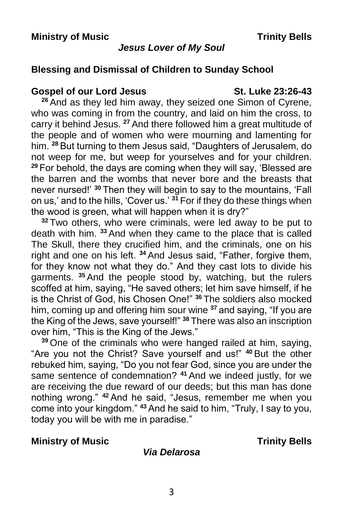#### *Jesus Lover of My Soul*

### **Blessing and Dismissal of Children to Sunday School**

#### **Gospel of our Lord Jesus St. Luke 23:26-43**

**<sup>26</sup>** And as they led him away, they seized one Simon of Cyrene, who was coming in from the country, and laid on him the cross, to carry it behind Jesus. **<sup>27</sup>** And there followed him a great multitude of the people and of women who were mourning and lamenting for him. **<sup>28</sup>** But turning to them Jesus said, "Daughters of Jerusalem, do not weep for me, but weep for yourselves and for your children. **<sup>29</sup>** For behold, the days are coming when they will say, 'Blessed are the barren and the wombs that never bore and the breasts that never nursed!' **<sup>30</sup>** Then they will begin to say to the mountains, 'Fall on us,' and to the hills, 'Cover us.' **<sup>31</sup>** For if they do these things when the wood is green, what will happen when it is dry?"

**<sup>32</sup>** Two others, who were criminals, were led away to be put to death with him. **<sup>33</sup>** And when they came to the place that is called The Skull, there they crucified him, and the criminals, one on his right and one on his left. **<sup>34</sup>** And Jesus said, "Father, forgive them, for they know not what they do." And they cast lots to divide his garments. **<sup>35</sup>** And the people stood by, watching, but the rulers scoffed at him, saying, "He saved others; let him save himself, if he is the Christ of God, his Chosen One!" **<sup>36</sup>** The soldiers also mocked him, coming up and offering him sour wine **<sup>37</sup>** and saying, "If you are the King of the Jews, save yourself!" **<sup>38</sup>** There was also an inscription over him, "This is the King of the Jews."

**<sup>39</sup>** One of the criminals who were hanged railed at him, saying, "Are you not the Christ? Save yourself and us!" **<sup>40</sup>** But the other rebuked him, saying, "Do you not fear God, since you are under the same sentence of condemnation? **<sup>41</sup>** And we indeed justly, for we are receiving the due reward of our deeds; but this man has done nothing wrong." **<sup>42</sup>** And he said, "Jesus, remember me when you come into your kingdom." **<sup>43</sup>** And he said to him, "Truly, I say to you, today you will be with me in paradise."

#### **Ministry of Music Trinity Bells**

#### *Via Delarosa*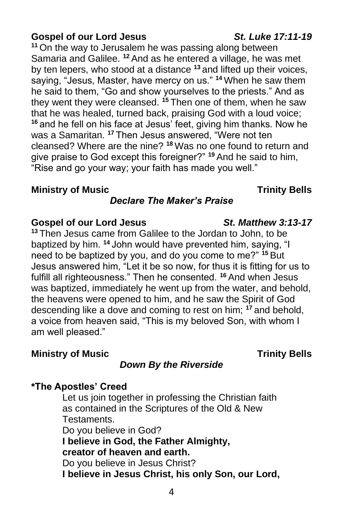# **Gospel of our Lord Jesus** *St. Luke 17:11-19*

**<sup>11</sup>** On the way to Jerusalem he was passing along between Samaria and Galilee. **<sup>12</sup>** And as he entered a village, he was met by ten lepers, who stood at a distance **<sup>13</sup>** and lifted up their voices, saying, "Jesus, Master, have mercy on us." **<sup>14</sup>** When he saw them he said to them, "Go and show yourselves to the priests." And as they went they were cleansed. **<sup>15</sup>** Then one of them, when he saw that he was healed, turned back, praising God with a loud voice; **<sup>16</sup>** and he fell on his face at Jesus' feet, giving him thanks. Now he was a Samaritan. **<sup>17</sup>** Then Jesus answered, "Were not ten cleansed? Where are the nine? **<sup>18</sup>** Was no one found to return and give praise to God except this foreigner?" **<sup>19</sup>** And he said to him, "Rise and go your way; your faith has made you well."

#### **Ministry of Music Trinity Bells**

# *Declare The Maker's Praise*

#### **Gospel of our Lord Jesus** *St. Matthew 3:13-17*

**<sup>13</sup>** Then Jesus came from Galilee to the Jordan to John, to be baptized by him. **<sup>14</sup>** John would have prevented him, saying, "I need to be baptized by you, and do you come to me?" **<sup>15</sup>** But Jesus answered him, "Let it be so now, for thus it is fitting for us to fulfill all righteousness." Then he consented. **<sup>16</sup>** And when Jesus was baptized, immediately he went up from the water, and behold, the heavens were opened to him, and he saw the Spirit of God descending like a dove and coming to rest on him; **<sup>17</sup>** and behold, a voice from heaven said, "This is my beloved Son, with whom I am well pleased."

#### **Ministry of Music Trinity Bells**

### *Down By the Riverside*

### **\*The Apostles' Creed**

Let us join together in professing the Christian faith as contained in the Scriptures of the Old & New Testaments. Do you believe in God? **I believe in God, the Father Almighty, creator of heaven and earth.** Do you believe in Jesus Christ? **I believe in Jesus Christ, his only Son, our Lord,**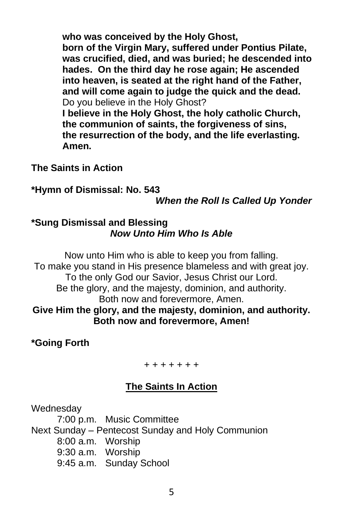**who was conceived by the Holy Ghost, born of the Virgin Mary, suffered under Pontius Pilate, was crucified, died, and was buried; he descended into hades. On the third day he rose again; He ascended into heaven, is seated at the right hand of the Father, and will come again to judge the quick and the dead.** Do you believe in the Holy Ghost?

**I believe in the Holy Ghost, the holy catholic Church, the communion of saints, the forgiveness of sins, the resurrection of the body, and the life everlasting. Amen.**

**The Saints in Action**

**\*Hymn of Dismissal: No. 543**

*When the Roll Is Called Up Yonder*

### **\*Sung Dismissal and Blessing** *Now Unto Him Who Is Able*

Now unto Him who is able to keep you from falling. To make you stand in His presence blameless and with great joy. To the only God our Savior, Jesus Christ our Lord. Be the glory, and the majesty, dominion, and authority. Both now and forevermore, Amen. **Give Him the glory, and the majesty, dominion, and authority. Both now and forevermore, Amen!**

**\*Going Forth**

+ + + + + + +

# **The Saints In Action**

**Wednesdav** 

7:00 p.m. Music Committee Next Sunday – Pentecost Sunday and Holy Communion 8:00 a.m. Worship 9:30 a.m. Worship 9:45 a.m. Sunday School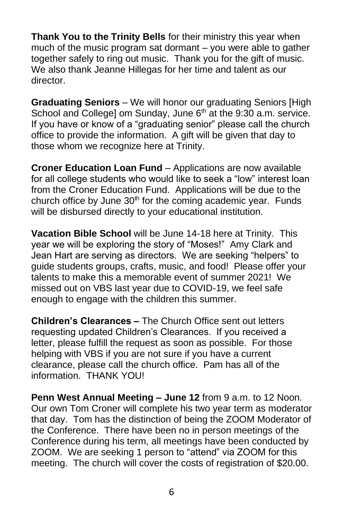**Thank You to the Trinity Bells** for their ministry this year when much of the music program sat dormant – you were able to gather together safely to ring out music. Thank you for the gift of music. We also thank Jeanne Hillegas for her time and talent as our director.

**Graduating Seniors** – We will honor our graduating Seniors [High School and College] om Sunday, June 6<sup>th</sup> at the 9:30 a.m. service. If you have or know of a "graduating senior" please call the church office to provide the information. A gift will be given that day to those whom we recognize here at Trinity.

**Croner Education Loan Fund** – Applications are now available for all college students who would like to seek a "low" interest loan from the Croner Education Fund. Applications will be due to the church office by June  $30<sup>th</sup>$  for the coming academic year. Funds will be disbursed directly to your educational institution.

**Vacation Bible School** will be June 14-18 here at Trinity. This year we will be exploring the story of "Moses!" Amy Clark and Jean Hart are serving as directors. We are seeking "helpers" to guide students groups, crafts, music, and food! Please offer your talents to make this a memorable event of summer 2021! We missed out on VBS last year due to COVID-19, we feel safe enough to engage with the children this summer.

**Children's Clearances –** The Church Office sent out letters requesting updated Children's Clearances. If you received a letter, please fulfill the request as soon as possible. For those helping with VBS if you are not sure if you have a current clearance, please call the church office. Pam has all of the information. THANK YOU!

**Penn West Annual Meeting – June 12** from 9 a.m. to 12 Noon. Our own Tom Croner will complete his two year term as moderator that day. Tom has the distinction of being the ZOOM Moderator of the Conference. There have been no in person meetings of the Conference during his term, all meetings have been conducted by ZOOM. We are seeking 1 person to "attend" via ZOOM for this meeting. The church will cover the costs of registration of \$20.00.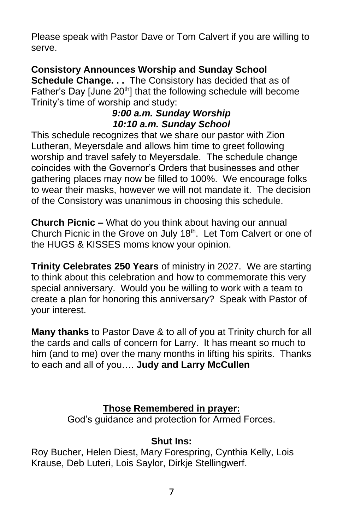Please speak with Pastor Dave or Tom Calvert if you are willing to serve.

# **Consistory Announces Worship and Sunday School**

**Schedule Change. . .** The Consistory has decided that as of Father's Day [June 20<sup>th</sup>] that the following schedule will become Trinity's time of worship and study:

### *9:00 a.m. Sunday Worship 10:10 a.m. Sunday School*

This schedule recognizes that we share our pastor with Zion Lutheran, Meyersdale and allows him time to greet following worship and travel safely to Meyersdale. The schedule change coincides with the Governor's Orders that businesses and other gathering places may now be filled to 100%. We encourage folks to wear their masks, however we will not mandate it. The decision of the Consistory was unanimous in choosing this schedule.

**Church Picnic –** What do you think about having our annual Church Picnic in the Grove on July 18<sup>th</sup>. Let Tom Calvert or one of the HUGS & KISSES moms know your opinion.

**Trinity Celebrates 250 Years** of ministry in 2027. We are starting to think about this celebration and how to commemorate this very special anniversary. Would you be willing to work with a team to create a plan for honoring this anniversary? Speak with Pastor of your interest.

**Many thanks** to Pastor Dave & to all of you at Trinity church for all the cards and calls of concern for Larry. It has meant so much to him (and to me) over the many months in lifting his spirits. Thanks to each and all of you…. **Judy and Larry McCullen**

# **Those Remembered in prayer:**

God's guidance and protection for Armed Forces.

# **Shut Ins:**

Roy Bucher, Helen Diest, Mary Forespring, Cynthia Kelly, Lois Krause, Deb Luteri, Lois Saylor, Dirkje Stellingwerf.